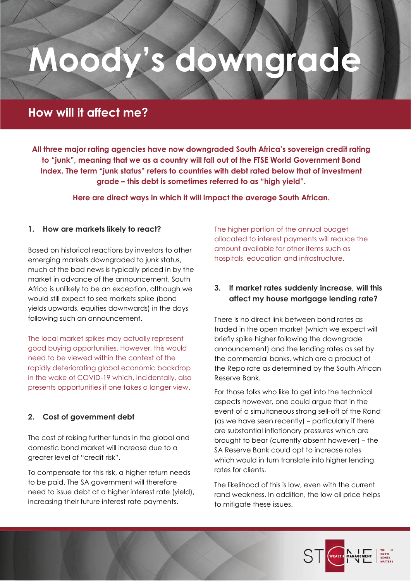# **Moody's downgrade**

# **How will it affect me?**

**All three major rating agencies have now downgraded South Africa's sovereign credit rating to "junk", meaning that we as a country will fall out of the FTSE World Government Bond Index. The term "junk status" refers to countries with debt rated below that of investment grade – this debt is sometimes referred to as "high yield".**

**Here are direct ways in which it will impact the average South African.**

## **1. How are markets likely to react?**

Based on historical reactions by investors to other emerging markets downgraded to junk status, much of the bad news is typically priced in by the market in advance of the announcement. South Africa is unlikely to be an exception, although we would still expect to see markets spike (bond yields upwards, equities downwards) in the days following such an announcement.

The local market spikes may actually represent good buying opportunities. However, this would need to be viewed within the context of the rapidly deteriorating global economic backdrop in the wake of COVID-19 which, incidentally, also presents opportunities if one takes a longer view.

# **2. Cost of government debt**

The cost of raising further funds in the global and domestic bond market will increase due to a greater level of "credit risk".

To compensate for this risk, a higher return needs to be paid. The SA government will therefore need to issue debt at a higher interest rate (yield), increasing their future interest rate payments.

The higher portion of the annual budget allocated to interest payments will reduce the amount available for other items such as hospitals, education and infrastructure.

# **3. If market rates suddenly increase, will this affect my house mortgage lending rate?**

There is no direct link between bond rates as traded in the open market (which we expect will briefly spike higher following the downgrade announcement) and the lending rates as set by the commercial banks, which are a product of the Repo rate as determined by the South African Reserve Bank.

For those folks who like to get into the technical aspects however, one could argue that in the event of a simultaneous strong sell-off of the Rand (as we have seen recently) – particularly if there are substantial inflationary pressures which are brought to bear (currently absent however) – the SA Reserve Bank could opt to increase rates which would in turn translate into higher lending rates for clients.

The likelihood of this is low, even with the current rand weakness. In addition, the low oil price helps to mitigate these issues.